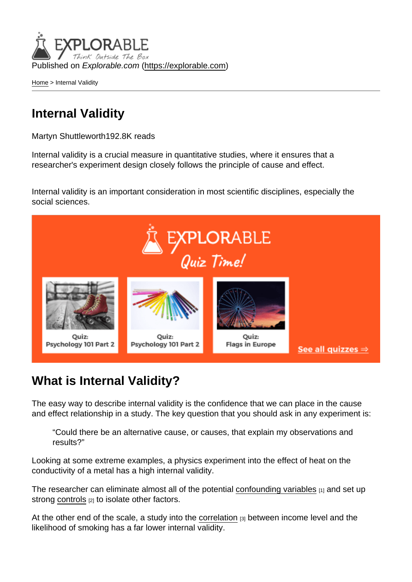Published on Explorable.com (<https://explorable.com>)

[Home](https://explorable.com/) > Internal Validity

# Internal Validity

Martyn Shuttleworth192.8K reads

Internal validity is a crucial measure in quantitative studies, where it ensures that a researcher's experiment design closely follows the principle of cause and effect.

Internal validity is an important consideration in most scientific disciplines, especially the social sciences.

### What is Internal Validity?

The easy way to describe internal validity is the confidence that we can place in the cause and effect relationship in a study. The key question that you should ask in any experiment is:

"Could there be an alternative cause, or causes, that explain my observations and results?"

Looking at some extreme examples, a physics experiment into the effect of heat on the conductivity of a metal has a high internal validity.

The researcher can eliminate almost all of the potential [confounding variables](https://explorable.com/confounding-variables) [1] and set up strong [controls](https://explorable.com/controlled-variables) [2] to isolate other factors.

At the other end of the scale, a study into the [correlation](https://explorable.com/correlation-and-causation)  $\beta$  between income level and the likelihood of smoking has a far lower internal validity.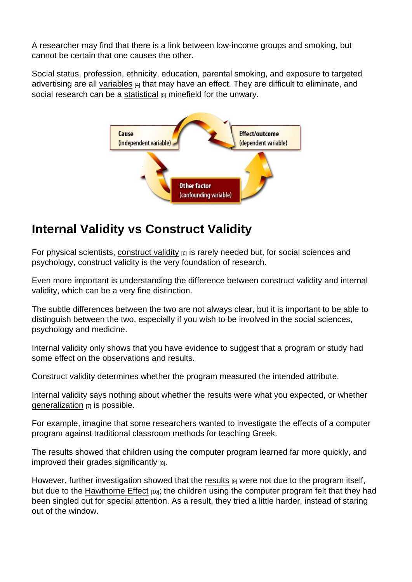A researcher may find that there is a link between low-income groups and smoking, but cannot be certain that one causes the other.

Social status, profession, ethnicity, education, parental smoking, and exposure to targeted advertising are all [variables](https://explorable.com/research-variables) [4] that may have an effect. They are difficult to eliminate, and social research can be a [statistical](https://explorable.com/statistics-tutorial)  $_{[5]}$  minefield for the unwary.

# Internal Validity vs Construct Validity

For physical scientists, [construct validity](https://explorable.com/construct-validity)  $[6]$  is rarely needed but, for social sciences and psychology, construct validity is the very foundation of research.

Even more important is understanding the difference between construct validity and internal validity, which can be a very fine distinction.

The subtle differences between the two are not always clear, but it is important to be able to distinguish between the two, especially if you wish to be involved in the social sciences, psychology and medicine.

Internal validity only shows that you have evidence to suggest that a program or study had some effect on the observations and results.

Construct validity determines whether the program measured the intended attribute.

Internal validity says nothing about whether the results were what you expected, or whether [generalization](https://explorable.com/what-is-generalization) [7] is possible.

For example, imagine that some researchers wanted to investigate the effects of a computer program against traditional classroom methods for teaching Greek.

The results showed that children using the computer program learned far more quickly, and improved their grades [significantly](https://explorable.com/significance-test) [8].

However, further investigation showed that the [results](https://explorable.com/statistically-significant-results)  $[9]$  were not due to the program itself, but due to the [Hawthorne Effect](https://explorable.com/hawthorne-effect) [10]; the children using the computer program felt that they had been singled out for special attention. As a result, they tried a little harder, instead of staring out of the window.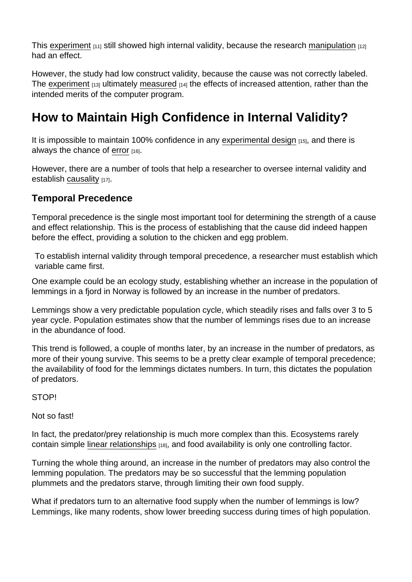This [experiment](https://explorable.com/experimental-research)  $[11]$  still showed high internal validity, because the research [manipulation](https://explorable.com/independent-variable)  $[12]$ had an effect.

However, the study had low construct validity, because the cause was not correctly labeled. The [experiment](https://explorable.com/conducting-an-experiment)  $[13]$  ultimately [measured](https://explorable.com/scientific-measurements)  $[14]$  the effects of increased attention, rather than the intended merits of the computer program.

# How to Maintain High Confidence in Internal Validity?

It is impossible to maintain 100% confidence in any [experimental design](https://explorable.com/design-of-experiment) [15], and there is always the chance of [error](https://explorable.com/systematic-error) [16].

However, there are a number of tools that help a researcher to oversee internal validity and establish [causality](https://explorable.com/causal-reasoning) [17].

### Temporal Precedence

Temporal precedence is the single most important tool for determining the strength of a cause and effect relationship. This is the process of establishing that the cause did indeed happen before the effect, providing a solution to the chicken and egg problem.

To establish internal validity through temporal precedence, a researcher must establish which variable came first.

One example could be an ecology study, establishing whether an increase in the population of lemmings in a fjord in Norway is followed by an increase in the number of predators.

Lemmings show a very predictable population cycle, which steadily rises and falls over 3 to 5 year cycle. Population estimates show that the number of lemmings rises due to an increase in the abundance of food.

This trend is followed, a couple of months later, by an increase in the number of predators, as more of their young survive. This seems to be a pretty clear example of temporal precedence; the availability of food for the lemmings dictates numbers. In turn, this dictates the population of predators.

**STOP!** 

Not so fast!

In fact, the predator/prey relationship is much more complex than this. Ecosystems rarely contain simple [linear relationships](https://explorable.com/linear-relationship) [18], and food availability is only one controlling factor.

Turning the whole thing around, an increase in the number of predators may also control the lemming population. The predators may be so successful that the lemming population plummets and the predators starve, through limiting their own food supply.

What if predators turn to an alternative food supply when the number of lemmings is low? Lemmings, like many rodents, show lower breeding success during times of high population.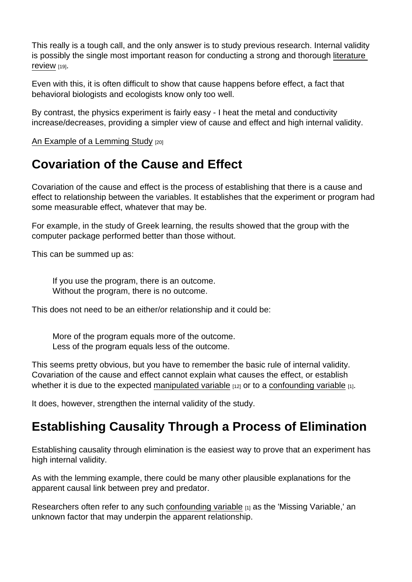This really is a tough call, and the only answer is to study previous research. Internal validity is possibly the single most important reason for conducting a strong and thorough [literature](https://explorable.com/what-is-a-literature-review)  [review](https://explorable.com/what-is-a-literature-review) [19].

Even with this, it is often difficult to show that cause happens before effect, a fact that behavioral biologists and ecologists know only too well.

By contrast, the physics experiment is fairly easy - I heat the metal and conductivity increase/decreases, providing a simpler view of cause and effect and high internal validity.

[An Example of a Lemming Study](http://pubs.aina.ucalgary.ca/arctic/Arctic50-4-377.pdf) [20]

### Covariation of the Cause and Effect

Covariation of the cause and effect is the process of establishing that there is a cause and effect to relationship between the variables. It establishes that the experiment or program had some measurable effect, whatever that may be.

For example, in the study of Greek learning, the results showed that the group with the computer package performed better than those without.

This can be summed up as:

If you use the program, there is an outcome. Without the program, there is no outcome.

This does not need to be an either/or relationship and it could be:

More of the program equals more of the outcome. Less of the program equals less of the outcome.

This seems pretty obvious, but you have to remember the basic rule of internal validity. Covariation of the cause and effect cannot explain what causes the effect, or establish whether it is due to the expected [manipulated variable](https://explorable.com/independent-variable)  $\mu$ <sub>12</sub> or to a [confounding variable](https://explorable.com/confounding-variables)  $\mu$ <sub>1</sub>.

It does, however, strengthen the internal validity of the study.

# Establishing Causality Through a Process of Elimination

Establishing causality through elimination is the easiest way to prove that an experiment has high internal validity.

As with the lemming example, there could be many other plausible explanations for the apparent causal link between prey and predator.

Researchers often refer to any such [confounding variable](https://explorable.com/confounding-variables) [1] as the 'Missing Variable,' an unknown factor that may underpin the apparent relationship.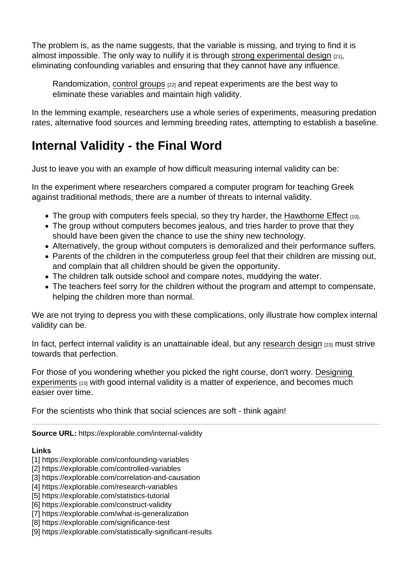The problem is, as the name suggests, that the variable is missing, and trying to find it is almost impossible. The only way to nullify it is through [strong experimental design](https://explorable.com/true-experimental-design)  $[21]$ , eliminating confounding variables and ensuring that they cannot have any influence.

Randomization, [control groups](https://explorable.com/scientific-control-group) [22] and repeat experiments are the best way to eliminate these variables and maintain high validity.

In the lemming example, researchers use a whole series of experiments, measuring predation rates, alternative food sources and lemming breeding rates, attempting to establish a baseline.

# Internal Validity - the Final Word

Just to leave you with an example of how difficult measuring internal validity can be:

In the experiment where researchers compared a computer program for teaching Greek against traditional methods, there are a number of threats to internal validity.

- The group with computers feels special, so they try harder, the [Hawthorne Effect](https://explorable.com/hawthorne-effect)  $100$ .
- The group without computers becomes jealous, and tries harder to prove that they should have been given the chance to use the shiny new technology.
- Alternatively, the group without computers is demoralized and their performance suffers.
- Parents of the children in the computerless group feel that their children are missing out, and complain that all children should be given the opportunity.
- The children talk outside school and compare notes, muddying the water.
- The teachers feel sorry for the children without the program and attempt to compensate, helping the children more than normal.

We are not trying to depress you with these complications, only illustrate how complex internal validity can be.

In fact, perfect internal validity is an unattainable ideal, but any [research design](https://explorable.com/research-designs) [23] must strive towards that perfection.

For those of you wondering whether you picked the right course, don't worry. [Designing](https://explorable.com/design-of-experiment)  [experiments](https://explorable.com/design-of-experiment)  $115$  with good internal validity is a matter of experience, and becomes much easier over time.

For the scientists who think that social sciences are soft - think again!

#### Source URL: https://explorable.com/internal-validity

Links

- [1] https://explorable.com/confounding-variables
- [2] https://explorable.com/controlled-variables
- [3] https://explorable.com/correlation-and-causation
- [4] https://explorable.com/research-variables
- [5] https://explorable.com/statistics-tutorial
- [6] https://explorable.com/construct-validity
- [7] https://explorable.com/what-is-generalization
- [8] https://explorable.com/significance-test
- [9] https://explorable.com/statistically-significant-results